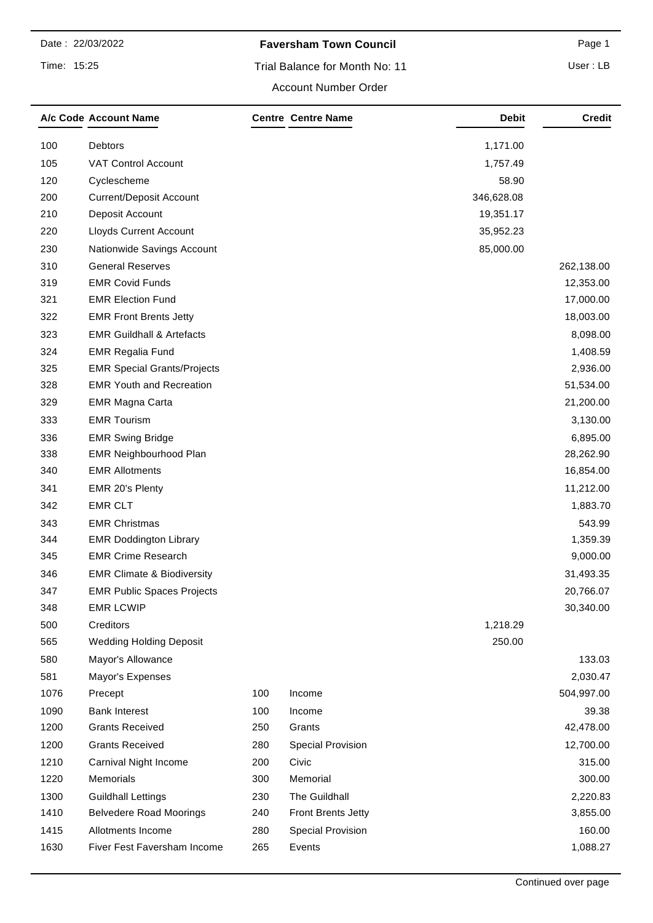## **Faversham Town Council Page 1** Page 1

Trial Balance for Month No: 11

User : LB

### Account Number Order

|      | A/c Code Account Name                 |     | <b>Centre Centre Name</b> | <b>Debit</b> | <b>Credit</b> |
|------|---------------------------------------|-----|---------------------------|--------------|---------------|
| 100  | Debtors                               |     |                           | 1,171.00     |               |
| 105  | <b>VAT Control Account</b>            |     |                           | 1,757.49     |               |
| 120  | Cyclescheme                           |     |                           | 58.90        |               |
| 200  | <b>Current/Deposit Account</b>        |     |                           | 346,628.08   |               |
| 210  | Deposit Account                       |     |                           | 19,351.17    |               |
| 220  | <b>Lloyds Current Account</b>         |     |                           | 35,952.23    |               |
| 230  | Nationwide Savings Account            |     |                           | 85,000.00    |               |
| 310  | <b>General Reserves</b>               |     |                           |              | 262,138.00    |
| 319  | <b>EMR Covid Funds</b>                |     |                           |              | 12,353.00     |
| 321  | <b>EMR Election Fund</b>              |     |                           |              | 17,000.00     |
| 322  | <b>EMR Front Brents Jetty</b>         |     |                           |              | 18,003.00     |
| 323  | <b>EMR Guildhall &amp; Artefacts</b>  |     |                           |              | 8,098.00      |
| 324  | <b>EMR Regalia Fund</b>               |     |                           |              | 1,408.59      |
| 325  | <b>EMR Special Grants/Projects</b>    |     |                           |              | 2,936.00      |
| 328  | <b>EMR Youth and Recreation</b>       |     |                           |              | 51,534.00     |
| 329  | <b>EMR Magna Carta</b>                |     |                           |              | 21,200.00     |
| 333  | <b>EMR Tourism</b>                    |     |                           |              | 3,130.00      |
| 336  | <b>EMR Swing Bridge</b>               |     |                           |              | 6,895.00      |
| 338  | <b>EMR Neighbourhood Plan</b>         |     |                           |              | 28,262.90     |
| 340  | <b>EMR Allotments</b>                 |     |                           |              | 16,854.00     |
| 341  | EMR 20's Plenty                       |     |                           |              | 11,212.00     |
| 342  | <b>EMR CLT</b>                        |     |                           |              | 1,883.70      |
| 343  | <b>EMR Christmas</b>                  |     |                           |              | 543.99        |
| 344  | <b>EMR Doddington Library</b>         |     |                           |              | 1,359.39      |
| 345  | <b>EMR Crime Research</b>             |     |                           |              | 9,000.00      |
| 346  | <b>EMR Climate &amp; Biodiversity</b> |     |                           |              | 31,493.35     |
| 347  | <b>EMR Public Spaces Projects</b>     |     |                           |              | 20,766.07     |
| 348  | <b>EMR LCWIP</b>                      |     |                           |              | 30,340.00     |
| 500  | Creditors                             |     |                           | 1,218.29     |               |
| 565  | <b>Wedding Holding Deposit</b>        |     |                           | 250.00       |               |
| 580  | Mayor's Allowance                     |     |                           |              | 133.03        |
| 581  | Mayor's Expenses                      |     |                           |              | 2,030.47      |
| 1076 | Precept                               | 100 | Income                    |              | 504,997.00    |
| 1090 | <b>Bank Interest</b>                  | 100 | Income                    |              | 39.38         |
| 1200 | <b>Grants Received</b>                | 250 | Grants                    |              | 42,478.00     |
| 1200 | <b>Grants Received</b>                | 280 | Special Provision         |              | 12,700.00     |
| 1210 | Carnival Night Income                 | 200 | Civic                     |              | 315.00        |
| 1220 | Memorials                             | 300 | Memorial                  |              | 300.00        |
| 1300 | <b>Guildhall Lettings</b>             | 230 | The Guildhall             |              | 2,220.83      |
| 1410 | <b>Belvedere Road Moorings</b>        | 240 | <b>Front Brents Jetty</b> |              | 3,855.00      |
| 1415 | Allotments Income                     | 280 | Special Provision         |              | 160.00        |
| 1630 | Fiver Fest Faversham Income           | 265 | Events                    |              | 1,088.27      |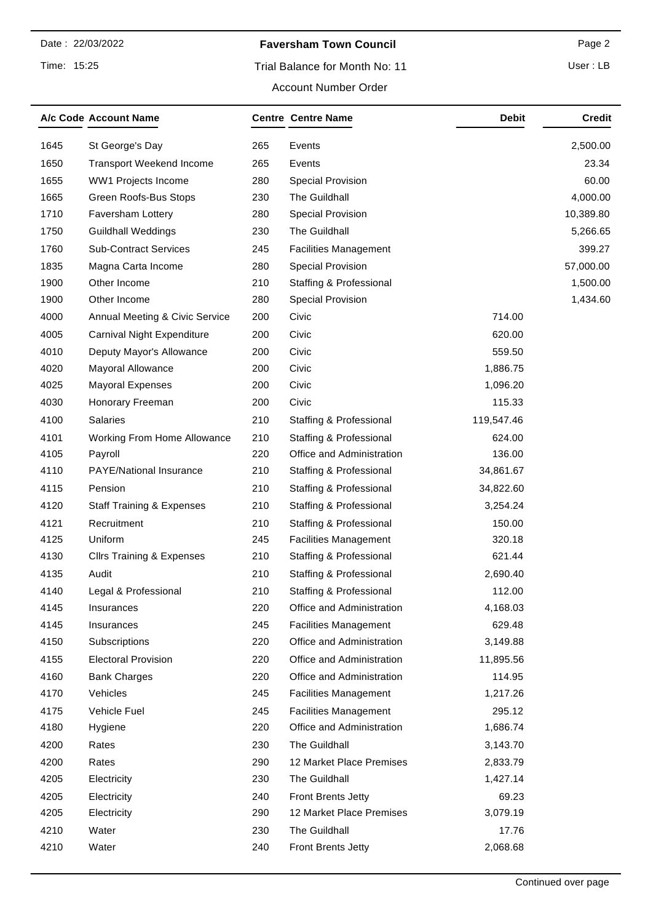## **Faversham Town Council Page 2** Page 2

# Trial Balance for Month No: 11

User : LB

|      | A/c Code Account Name                |     | <b>Centre Centre Name</b>          | <b>Debit</b> | <b>Credit</b> |
|------|--------------------------------------|-----|------------------------------------|--------------|---------------|
| 1645 | St George's Day                      | 265 | Events                             |              | 2,500.00      |
| 1650 | <b>Transport Weekend Income</b>      | 265 | Events                             |              | 23.34         |
| 1655 | WW1 Projects Income                  | 280 | <b>Special Provision</b>           |              | 60.00         |
| 1665 | Green Roofs-Bus Stops                | 230 | The Guildhall                      |              | 4,000.00      |
| 1710 | Faversham Lottery                    | 280 | Special Provision                  |              | 10,389.80     |
| 1750 | <b>Guildhall Weddings</b>            | 230 | The Guildhall                      |              | 5,266.65      |
| 1760 | <b>Sub-Contract Services</b>         | 245 | <b>Facilities Management</b>       |              | 399.27        |
| 1835 | Magna Carta Income                   | 280 | <b>Special Provision</b>           |              | 57,000.00     |
| 1900 | Other Income                         | 210 | Staffing & Professional            |              | 1,500.00      |
| 1900 | Other Income                         | 280 | <b>Special Provision</b>           |              | 1,434.60      |
| 4000 | Annual Meeting & Civic Service       | 200 | Civic                              | 714.00       |               |
| 4005 | Carnival Night Expenditure           | 200 | Civic                              | 620.00       |               |
| 4010 | Deputy Mayor's Allowance             | 200 | Civic                              | 559.50       |               |
| 4020 | Mayoral Allowance                    | 200 | Civic                              | 1,886.75     |               |
| 4025 | <b>Mayoral Expenses</b>              | 200 | Civic                              | 1,096.20     |               |
| 4030 | Honorary Freeman                     | 200 | Civic                              | 115.33       |               |
| 4100 | <b>Salaries</b>                      | 210 | Staffing & Professional            | 119,547.46   |               |
| 4101 | Working From Home Allowance          | 210 | Staffing & Professional            | 624.00       |               |
| 4105 | Payroll                              | 220 | Office and Administration          | 136.00       |               |
| 4110 | PAYE/National Insurance              | 210 | Staffing & Professional            | 34,861.67    |               |
| 4115 | Pension                              | 210 | Staffing & Professional            | 34,822.60    |               |
| 4120 | <b>Staff Training &amp; Expenses</b> | 210 | Staffing & Professional            | 3,254.24     |               |
| 4121 | Recruitment                          | 210 | Staffing & Professional            | 150.00       |               |
| 4125 | Uniform                              | 245 | <b>Facilities Management</b>       | 320.18       |               |
| 4130 | <b>Cllrs Training &amp; Expenses</b> | 210 | Staffing & Professional            | 621.44       |               |
| 4135 | Audit                                | 210 | <b>Staffing &amp; Professional</b> | 2,690.40     |               |
| 4140 | Legal & Professional                 | 210 | <b>Staffing &amp; Professional</b> | 112.00       |               |
| 4145 | Insurances                           | 220 | Office and Administration          | 4,168.03     |               |
| 4145 | Insurances                           | 245 | <b>Facilities Management</b>       | 629.48       |               |
| 4150 | Subscriptions                        | 220 | Office and Administration          | 3,149.88     |               |
| 4155 | <b>Electoral Provision</b>           | 220 | Office and Administration          | 11,895.56    |               |
| 4160 | <b>Bank Charges</b>                  | 220 | Office and Administration          | 114.95       |               |
| 4170 | Vehicles                             | 245 | <b>Facilities Management</b>       | 1,217.26     |               |
| 4175 | Vehicle Fuel                         | 245 | <b>Facilities Management</b>       | 295.12       |               |
| 4180 | Hygiene                              | 220 | Office and Administration          | 1,686.74     |               |
| 4200 | Rates                                | 230 | The Guildhall                      | 3,143.70     |               |
| 4200 | Rates                                | 290 | 12 Market Place Premises           | 2,833.79     |               |
| 4205 | Electricity                          | 230 | The Guildhall                      | 1,427.14     |               |
| 4205 | Electricity                          | 240 | <b>Front Brents Jetty</b>          | 69.23        |               |
| 4205 | Electricity                          | 290 | 12 Market Place Premises           | 3,079.19     |               |
| 4210 | Water                                | 230 | The Guildhall                      | 17.76        |               |
| 4210 | Water                                | 240 | <b>Front Brents Jetty</b>          | 2,068.68     |               |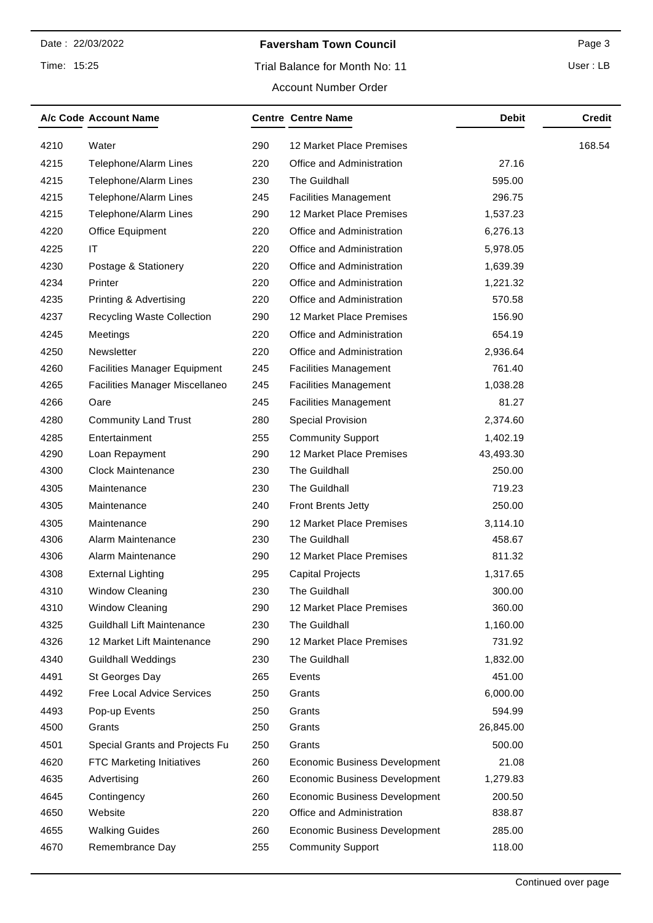# **Faversham Town Council Page 3**

User : LB

#### Account Number Order

|      | A/c Code Account Name                 |     | <b>Centre Centre Name</b>            | <b>Debit</b> | <b>Credit</b> |
|------|---------------------------------------|-----|--------------------------------------|--------------|---------------|
| 4210 | Water                                 | 290 | 12 Market Place Premises             |              | 168.54        |
| 4215 | Telephone/Alarm Lines                 | 220 | Office and Administration            | 27.16        |               |
| 4215 | Telephone/Alarm Lines                 | 230 | The Guildhall                        | 595.00       |               |
| 4215 | Telephone/Alarm Lines                 | 245 | <b>Facilities Management</b>         | 296.75       |               |
| 4215 | Telephone/Alarm Lines                 | 290 | 12 Market Place Premises             | 1,537.23     |               |
| 4220 | Office Equipment                      | 220 | Office and Administration            | 6,276.13     |               |
| 4225 | IT                                    | 220 | Office and Administration            | 5,978.05     |               |
| 4230 | Postage & Stationery                  | 220 | Office and Administration            | 1,639.39     |               |
| 4234 | Printer                               | 220 | Office and Administration            | 1,221.32     |               |
| 4235 | Printing & Advertising                | 220 | Office and Administration            | 570.58       |               |
| 4237 | <b>Recycling Waste Collection</b>     | 290 | 12 Market Place Premises             | 156.90       |               |
| 4245 | Meetings                              | 220 | Office and Administration            | 654.19       |               |
| 4250 | Newsletter                            | 220 | Office and Administration            | 2,936.64     |               |
| 4260 | <b>Facilities Manager Equipment</b>   | 245 | <b>Facilities Management</b>         | 761.40       |               |
| 4265 | <b>Facilities Manager Miscellaneo</b> | 245 | <b>Facilities Management</b>         | 1,038.28     |               |
| 4266 | Oare                                  | 245 | <b>Facilities Management</b>         | 81.27        |               |
| 4280 | <b>Community Land Trust</b>           | 280 | <b>Special Provision</b>             | 2,374.60     |               |
| 4285 | Entertainment                         | 255 | <b>Community Support</b>             | 1,402.19     |               |
| 4290 | Loan Repayment                        | 290 | 12 Market Place Premises             | 43,493.30    |               |
| 4300 | <b>Clock Maintenance</b>              | 230 | The Guildhall                        | 250.00       |               |
| 4305 | Maintenance                           | 230 | The Guildhall                        | 719.23       |               |
| 4305 | Maintenance                           | 240 | <b>Front Brents Jetty</b>            | 250.00       |               |
| 4305 | Maintenance                           | 290 | 12 Market Place Premises             | 3,114.10     |               |
| 4306 | Alarm Maintenance                     | 230 | The Guildhall                        | 458.67       |               |
| 4306 | Alarm Maintenance                     | 290 | 12 Market Place Premises             | 811.32       |               |
| 4308 | <b>External Lighting</b>              | 295 | <b>Capital Projects</b>              | 1,317.65     |               |
| 4310 | <b>Window Cleaning</b>                | 230 | The Guildhall                        | 300.00       |               |
| 4310 | Window Cleaning                       | 290 | 12 Market Place Premises             | 360.00       |               |
| 4325 | <b>Guildhall Lift Maintenance</b>     | 230 | The Guildhall                        | 1,160.00     |               |
| 4326 | 12 Market Lift Maintenance            | 290 | 12 Market Place Premises             | 731.92       |               |
| 4340 | <b>Guildhall Weddings</b>             | 230 | The Guildhall                        | 1,832.00     |               |
| 4491 | St Georges Day                        | 265 | Events                               | 451.00       |               |
| 4492 | Free Local Advice Services            | 250 | Grants                               | 6,000.00     |               |
| 4493 | Pop-up Events                         | 250 | Grants                               | 594.99       |               |
| 4500 | Grants                                | 250 | Grants                               | 26,845.00    |               |
| 4501 | Special Grants and Projects Fu        | 250 | Grants                               | 500.00       |               |
| 4620 | FTC Marketing Initiatives             | 260 | <b>Economic Business Development</b> | 21.08        |               |
| 4635 | Advertising                           | 260 | <b>Economic Business Development</b> | 1,279.83     |               |
| 4645 | Contingency                           | 260 | <b>Economic Business Development</b> | 200.50       |               |
| 4650 | Website                               | 220 | Office and Administration            | 838.87       |               |
| 4655 | <b>Walking Guides</b>                 | 260 | <b>Economic Business Development</b> | 285.00       |               |
| 4670 | Remembrance Day                       | 255 | <b>Community Support</b>             | 118.00       |               |